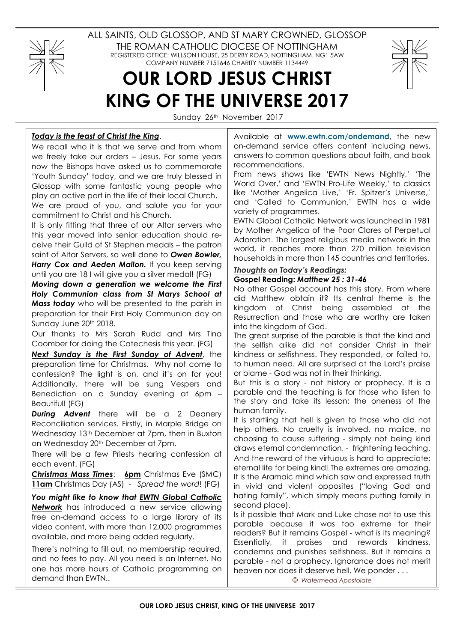

World Over,' and 'EWTN Pro-Life Weekly,' to classics like 'Mother Angelica Live,' 'Fr. Spitzer's Universe,' and 'Called to Communion,' EWTN has a wide variety of programmes.

EWTN Global Catholic Network was launched in 1981 by Mother Angelica of the Poor Clares of Perpetual Adoration. The largest religious media network in the world, it reaches more than 270 million television households in more than 145 countries and territories.

# Thoughts on Today's Readings:

## Gospel Reading: Matthew 25 : 31-46

No other Gospel account has this story. From where did Matthew obtain it? Its central theme is the kingdom of Christ being assembled at the Resurrection and those who are worthy are taken into the kingdom of God.

The great surprise of the parable is that the kind and the selfish alike did not consider Christ in their kindness or selfishness. They responded, or failed to, to human need. All are surprised at the Lord's praise or blame - God was not in their thinking.

But this is a story - not history or prophecy. It is a parable and the teaching is for those who listen to the story and take its lesson: the oneness of the human family.

It is startling that hell is given to those who did not help others. No cruelty is involved, no malice, no choosing to cause suffering - simply not being kind draws eternal condemnation, - frightening teaching. And the reward of the virtuous is hard to appreciate: eternal life for being kind! The extremes are amazing. It is the Aramaic mind which saw and expressed truth in vivid and violent opposites ("loving God and hating family", which simply means putting family in second place).

Is it possible that Mark and Luke chose not to use this parable because it was too extreme for their readers? But it remains Gospel - what is its meaning? Essentially, it praises and rewards kindness, condemns and punishes selfishness. But it remains a parable - not a prophecy. Ignorance does not merit heaven nor does it deserve hell. We ponder . . .

© Watermead Apostolate

we freely take our orders – Jesus. For some years now the Bishops have asked us to commemorate 'Youth Sunday' today, and we are truly blessed in Glossop with some fantastic young people who play an active part in the life of their local Church.

We are proud of you, and salute you for your commitment to Christ and his Church.

It is only fitting that three of our Altar servers who this year moved into senior education should receive their Guild of St Stephen medals – the patron saint of Altar Servers, so well done to Owen Bowler, Harry Cox and Aeden Mallon. If you keep serving until you are 18 I will give you a silver medal! (FG)

Moving down a generation we welcome the First Holy Communion class from St Marys School at Mass today who will be presented to the parish in preparation for their First Holy Communion day on Sunday June 20<sup>th</sup> 2018.

Our thanks to Mrs Sarah Rudd and Mrs Tina Coomber for doing the Catechesis this year. (FG)

Next Sunday is the First Sunday of Advent, the preparation time for Christmas. Why not come to confession? The light is on, and it's on for you! Additionally, there will be sung Vespers and Benediction on a Sunday evening at 6pm – Beautiful! (FG)

**During Advent** there will be a 2 Deanery Reconciliation services. Firstly, in Marple Bridge on Wednesday 13th December at 7pm, then in Buxton on Wednesday 20<sup>th</sup> December at 7pm.

There will be a few Priests hearing confession at each event. (FG)

Christmas Mass Times: 6pm Christmas Eve (SMC) 11am Christmas Day (AS) - Spread the word! (FG)

You might like to know that EWTN Global Catholic Network has introduced a new service allowing free on-demand access to a large library of its video content, with more than 12,000 programmes available, and more being added regularly.

There's nothing to fill out, no membership required, and no fees to pay. All you need is an Internet. No one has more hours of Catholic programming on demand than EWTN..